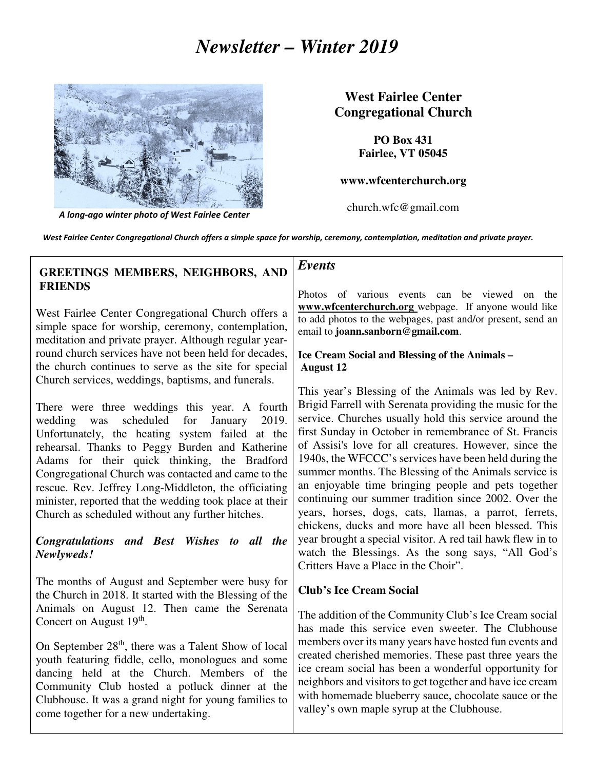# *Newsletter – Winter 2019*



A long-ago winter photo of West Fairlee Center

# **West Fairlee Center Congregational Church**

**PO Box 431 Fairlee, VT 05045** 

#### **www.wfcenterchurch.org**

church.wfc@gmail.com

West Fairlee Center Congregational Church offers a simple space for worship, ceremony, contemplation, meditation and private prayer.

# **GREETINGS MEMBERS, NEIGHBORS, AND FRIENDS**

West Fairlee Center Congregational Church offers a simple space for worship, ceremony, contemplation, meditation and private prayer. Although regular yearround church services have not been held for decades, the church continues to serve as the site for special Church services, weddings, baptisms, and funerals.

There were three weddings this year. A fourth wedding was scheduled for January 2019. Unfortunately, the heating system failed at the rehearsal. Thanks to Peggy Burden and Katherine Adams for their quick thinking, the Bradford Congregational Church was contacted and came to the rescue. Rev. Jeffrey Long-Middleton, the officiating minister, reported that the wedding took place at their Church as scheduled without any further hitches.

#### *Congratulations and Best Wishes to all the Newlyweds!*

The months of August and September were busy for the Church in 2018. It started with the Blessing of the Animals on August 12. Then came the Serenata Concert on August  $19<sup>th</sup>$ .

On September 28<sup>th</sup>, there was a Talent Show of local youth featuring fiddle, cello, monologues and some dancing held at the Church. Members of the Community Club hosted a potluck dinner at the Clubhouse. It was a grand night for young families to come together for a new undertaking.

#### *Events*

Photos of various events can be viewed on the **www.wfcenterchurch.org** webpage. If anyone would like to add photos to the webpages, past and/or present, send an email to **joann.sanborn@gmail.com**.

#### **Ice Cream Social and Blessing of the Animals – August 12**

This year's Blessing of the Animals was led by Rev. Brigid Farrell with Serenata providing the music for the service. Churches usually hold this service around the first Sunday in October in remembrance of St. Francis of Assisi's love for all creatures. However, since the 1940s, the WFCCC's services have been held during the summer months. The Blessing of the Animals service is an enjoyable time bringing people and pets together continuing our summer tradition since 2002. Over the years, horses, dogs, cats, llamas, a parrot, ferrets, chickens, ducks and more have all been blessed. This year brought a special visitor. A red tail hawk flew in to watch the Blessings. As the song says, "All God's Critters Have a Place in the Choir".

### **Club's Ice Cream Social**

The addition of the Community Club's Ice Cream social has made this service even sweeter. The Clubhouse members over its many years have hosted fun events and created cherished memories. These past three years the ice cream social has been a wonderful opportunity for neighbors and visitors to get together and have ice cream with homemade blueberry sauce, chocolate sauce or the valley's own maple syrup at the Clubhouse.